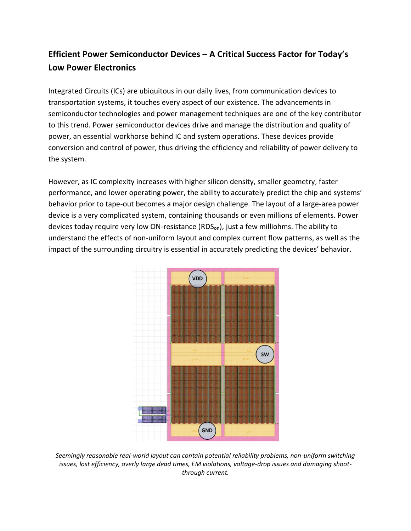# **Efficient Power Semiconductor Devices – A Critical Success Factor for Today's Low Power Electronics**

Integrated Circuits (ICs) are ubiquitous in our daily lives, from communication devices to transportation systems, it touches every aspect of our existence. The advancements in semiconductor technologies and power management techniques are one of the key contributor to this trend. Power semiconductor devices drive and manage the distribution and quality of power, an essential workhorse behind IC and system operations. These devices provide conversion and control of power, thus driving the efficiency and reliability of power delivery to the system.

However, as IC complexity increases with higher silicon density, smaller geometry, faster performance, and lower operating power, the ability to accurately predict the chip and systems' behavior prior to tape-out becomes a major design challenge. The layout of a large-area power device is a very complicated system, containing thousands or even millions of elements. Power devices today require very low ON-resistance (RDSon), just a few milliohms. The ability to understand the effects of non-uniform layout and complex current flow patterns, as well as the impact of the surrounding circuitry is essential in accurately predicting the devices' behavior.



*Seemingly reasonable real-world layout can contain potential reliability problems, non-uniform switching issues, lost efficiency, overly large dead times, EM violations, voltage-drop issues and damaging shootthrough current.*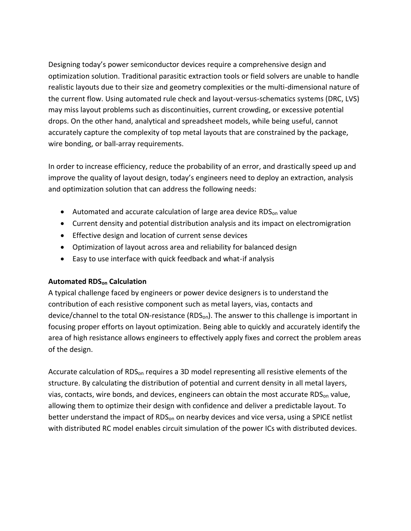Designing today's power semiconductor devices require a comprehensive design and optimization solution. Traditional parasitic extraction tools or field solvers are unable to handle realistic layouts due to their size and geometry complexities or the multi-dimensional nature of the current flow. Using automated rule check and layout-versus-schematics systems (DRC, LVS) may miss layout problems such as discontinuities, current crowding, or excessive potential drops. On the other hand, analytical and spreadsheet models, while being useful, cannot accurately capture the complexity of top metal layouts that are constrained by the package, wire bonding, or ball-array requirements.

In order to increase efficiency, reduce the probability of an error, and drastically speed up and improve the quality of layout design, today's engineers need to deploy an extraction, analysis and optimization solution that can address the following needs:

- Automated and accurate calculation of large area device RDS $_{on}$  value
- Current density and potential distribution analysis and its impact on electromigration
- Effective design and location of current sense devices
- Optimization of layout across area and reliability for balanced design
- Easy to use interface with quick feedback and what-if analysis

## **Automated RDSon Calculation**

A typical challenge faced by engineers or power device designers is to understand the contribution of each resistive component such as metal layers, vias, contacts and device/channel to the total ON-resistance (RDS<sub>on</sub>). The answer to this challenge is important in focusing proper efforts on layout optimization. Being able to quickly and accurately identify the area of high resistance allows engineers to effectively apply fixes and correct the problem areas of the design.

Accurate calculation of RDS<sub>on</sub> requires a 3D model representing all resistive elements of the structure. By calculating the distribution of potential and current density in all metal layers, vias, contacts, wire bonds, and devices, engineers can obtain the most accurate RDS<sub>on</sub> value, allowing them to optimize their design with confidence and deliver a predictable layout. To better understand the impact of RDS<sub>on</sub> on nearby devices and vice versa, using a SPICE netlist with distributed RC model enables circuit simulation of the power ICs with distributed devices.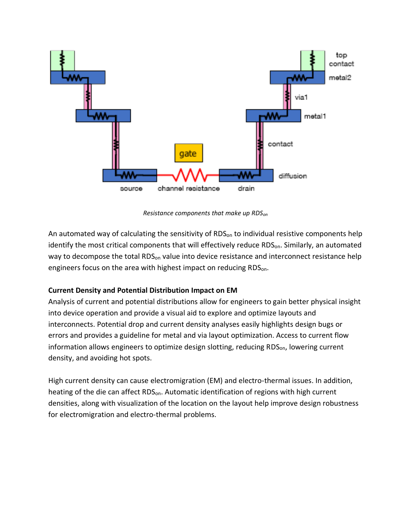

*Resistance components that make up RDSon*

An automated way of calculating the sensitivity of  $RDS_{on}$  to individual resistive components help identify the most critical components that will effectively reduce RDS<sub>on</sub>. Similarly, an automated way to decompose the total RDS<sub>on</sub> value into device resistance and interconnect resistance help engineers focus on the area with highest impact on reducing RDS<sub>on</sub>.

## **Current Density and Potential Distribution Impact on EM**

Analysis of current and potential distributions allow for engineers to gain better physical insight into device operation and provide a visual aid to explore and optimize layouts and interconnects. Potential drop and current density analyses easily highlights design bugs or errors and provides a guideline for metal and via layout optimization. Access to current flow information allows engineers to optimize design slotting, reducing RDS<sub>on</sub>, lowering current density, and avoiding hot spots.

High current density can cause electromigration (EM) and electro-thermal issues. In addition, heating of the die can affect RDS<sub>on</sub>. Automatic identification of regions with high current densities, along with visualization of the location on the layout help improve design robustness for electromigration and electro-thermal problems.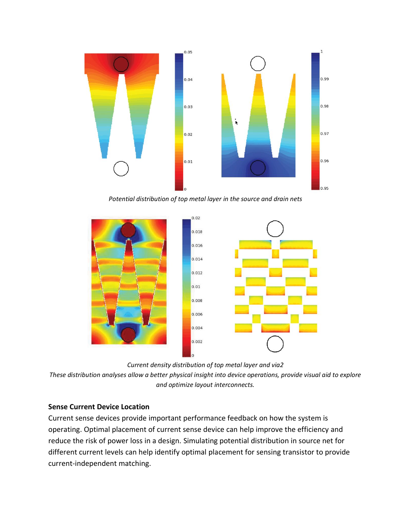

*Potential distribution of top metal layer in the source and drain nets*



*Current density distribution of top metal layer and via2*

*These distribution analyses allow a better physical insight into device operations, provide visual aid to explore and optimize layout interconnects.*

### **Sense Current Device Location**

Current sense devices provide important performance feedback on how the system is operating. Optimal placement of current sense device can help improve the efficiency and reduce the risk of power loss in a design. Simulating potential distribution in source net for different current levels can help identify optimal placement for sensing transistor to provide current-independent matching.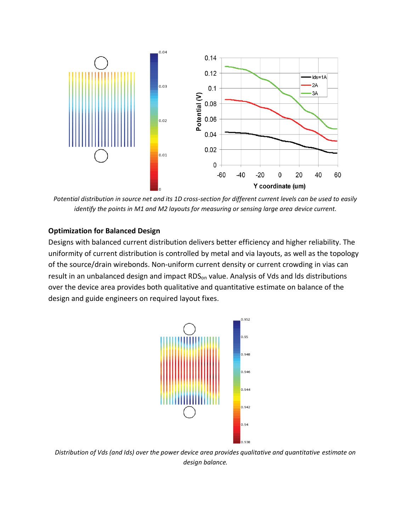

*Potential distribution in source net and its 1D cross-section for different current levels can be used to easily identify the points in M1 and M2 layouts for measuring or sensing large area device current.*

#### **Optimization for Balanced Design**

Designs with balanced current distribution delivers better efficiency and higher reliability. The uniformity of current distribution is controlled by metal and via layouts, as well as the topology of the source/drain wirebonds. Non-uniform current density or current crowding in vias can result in an unbalanced design and impact RDS<sub>on</sub> value. Analysis of Vds and Ids distributions over the device area provides both qualitative and quantitative estimate on balance of the design and guide engineers on required layout fixes.



*Distribution of Vds (and Ids) over the power device area provides qualitative and quantitative estimate on design balance.*